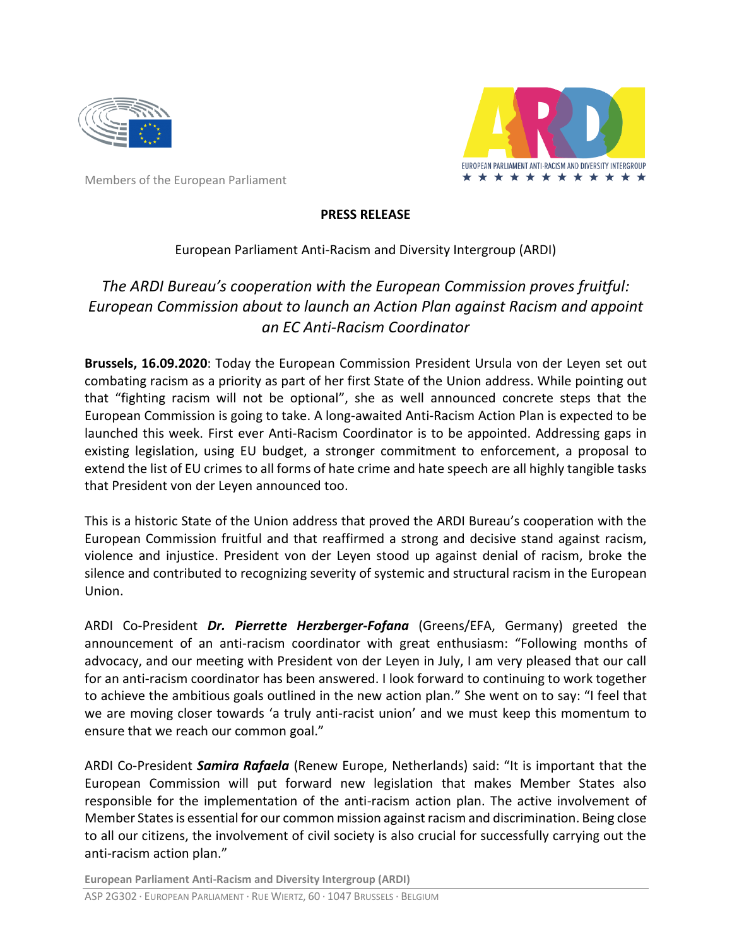



Members of the European Parliament

## **PRESS RELEASE**

## European Parliament Anti-Racism and Diversity Intergroup (ARDI)

## *The ARDI Bureau's cooperation with the European Commission proves fruitful: European Commission about to launch an Action Plan against Racism and appoint an EC Anti-Racism Coordinator*

**Brussels, 16.09.2020**: Today the European Commission President Ursula von der Leyen set out combating racism as a priority as part of her first State of the Union address. While pointing out that "fighting racism will not be optional", she as well announced concrete steps that the European Commission is going to take. A long-awaited Anti-Racism Action Plan is expected to be launched this week. First ever Anti-Racism Coordinator is to be appointed. Addressing gaps in existing legislation, using EU budget, a stronger commitment to enforcement, a proposal to extend the list of EU crimes to all forms of hate crime and hate speech are all highly tangible tasks that President von der Leyen announced too.

This is a historic State of the Union address that proved the ARDI Bureau's cooperation with the European Commission fruitful and that reaffirmed a strong and decisive stand against racism, violence and injustice. President von der Leyen stood up against denial of racism, broke the silence and contributed to recognizing severity of systemic and structural racism in the European Union.

ARDI Co-President *Dr. Pierrette Herzberger-Fofana* (Greens/EFA, Germany) greeted the announcement of an anti-racism coordinator with great enthusiasm: "Following months of advocacy, and our meeting with President von der Leyen in July, I am very pleased that our call for an anti-racism coordinator has been answered. I look forward to continuing to work together to achieve the ambitious goals outlined in the new action plan." She went on to say: "I feel that we are moving closer towards 'a truly anti-racist union' and we must keep this momentum to ensure that we reach our common goal."

ARDI Co-President *Samira Rafaela* (Renew Europe, Netherlands) said: "It is important that the European Commission will put forward new legislation that makes Member States also responsible for the implementation of the anti-racism action plan. The active involvement of Member States is essential for our common mission against racism and discrimination. Being close to all our citizens, the involvement of civil society is also crucial for successfully carrying out the anti-racism action plan."

**European Parliament Anti-Racism and Diversity Intergroup (ARDI)**